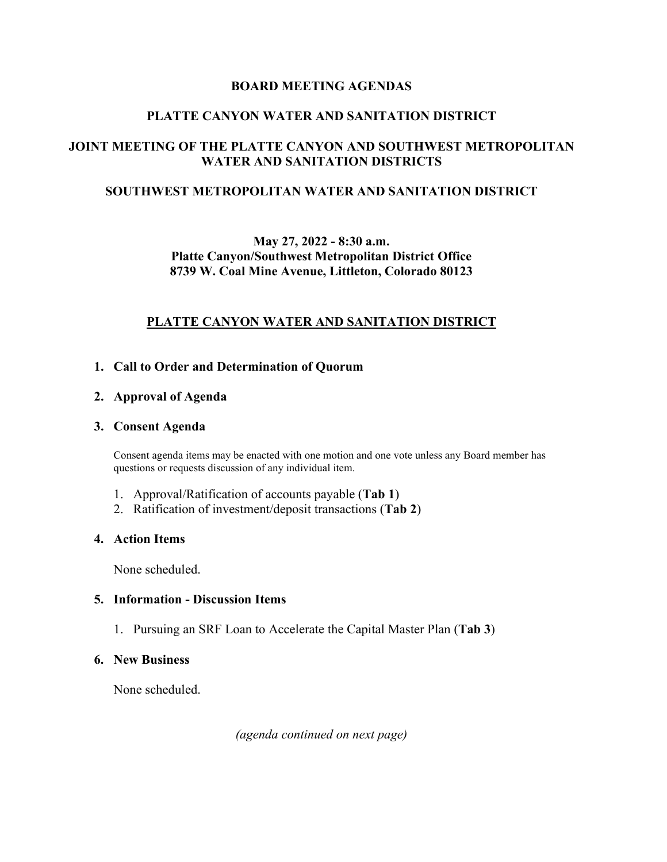### **BOARD MEETING AGENDAS**

### **PLATTE CANYON WATER AND SANITATION DISTRICT**

# **JOINT MEETING OF THE PLATTE CANYON AND SOUTHWEST METROPOLITAN WATER AND SANITATION DISTRICTS**

### **SOUTHWEST METROPOLITAN WATER AND SANITATION DISTRICT**

## **May 27, 2022 - 8:30 a.m. Platte Canyon/Southwest Metropolitan District Office 8739 W. Coal Mine Avenue, Littleton, Colorado 80123**

### **PLATTE CANYON WATER AND SANITATION DISTRICT**

#### **1. Call to Order and Determination of Quorum**

#### **2. Approval of Agenda**

#### **3. Consent Agenda**

Consent agenda items may be enacted with one motion and one vote unless any Board member has questions or requests discussion of any individual item.

- 1. Approval/Ratification of accounts payable (**Tab 1**)
- 2. Ratification of investment/deposit transactions (**Tab 2**)

### **4. Action Items**

None scheduled.

### **5. Information - Discussion Items**

1. Pursuing an SRF Loan to Accelerate the Capital Master Plan (**Tab 3**)

#### **6. New Business**

None scheduled.

*(agenda continued on next page)*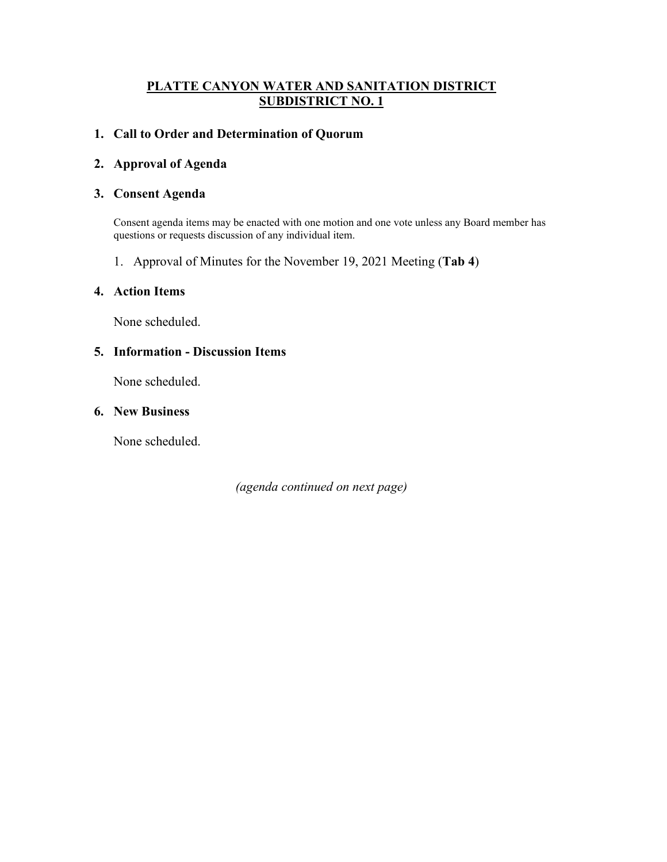## **PLATTE CANYON WATER AND SANITATION DISTRICT SUBDISTRICT NO. 1**

### **1. Call to Order and Determination of Quorum**

### **2. Approval of Agenda**

#### **3. Consent Agenda**

Consent agenda items may be enacted with one motion and one vote unless any Board member has questions or requests discussion of any individual item.

1. Approval of Minutes for the November 19, 2021 Meeting (**Tab 4**)

#### **4. Action Items**

None scheduled.

#### **5. Information - Discussion Items**

None scheduled.

### **6. New Business**

None scheduled.

*(agenda continued on next page)*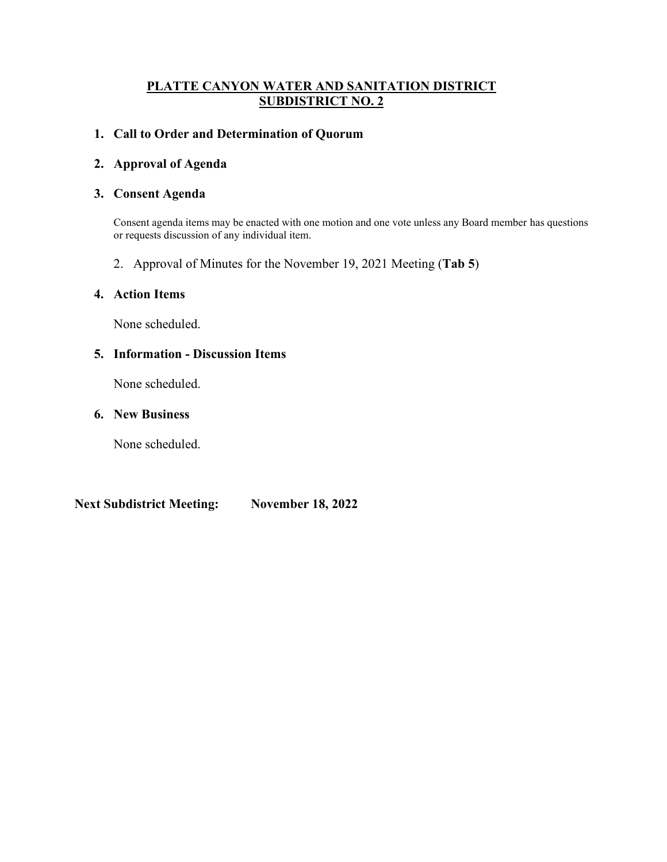## **PLATTE CANYON WATER AND SANITATION DISTRICT SUBDISTRICT NO. 2**

### **1. Call to Order and Determination of Quorum**

### **2. Approval of Agenda**

### **3. Consent Agenda**

Consent agenda items may be enacted with one motion and one vote unless any Board member has questions or requests discussion of any individual item.

2. Approval of Minutes for the November 19, 2021 Meeting (**Tab 5**)

### **4. Action Items**

None scheduled.

### **5. Information - Discussion Items**

None scheduled.

### **6. New Business**

None scheduled.

**Next Subdistrict Meeting: November 18, 2022**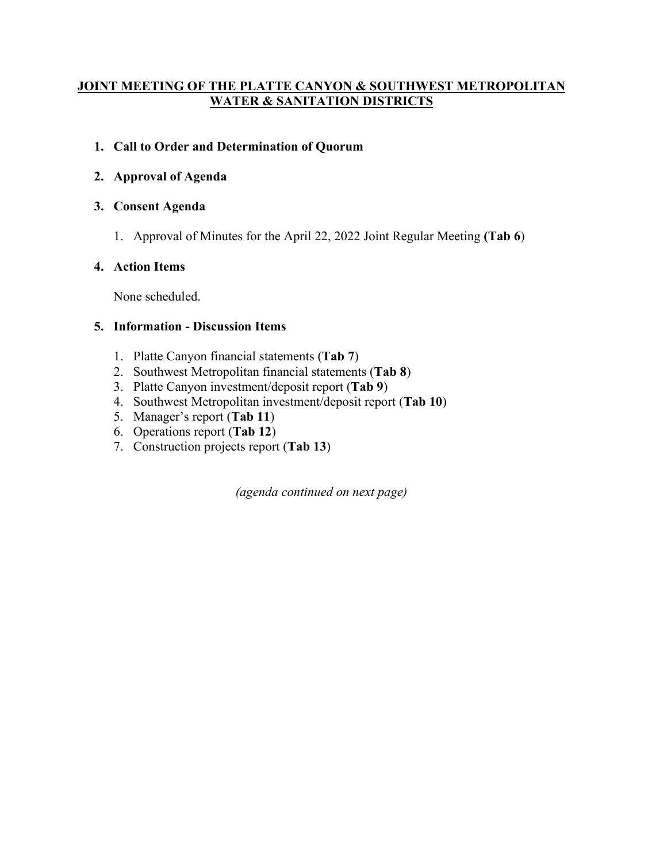# **JOINT MEETING OF THE PLATTE CANYON & SOUTHWEST METROPOLITAN WATER & SANITATION DISTRICTS**

# **1. Call to Order and Determination of Quorum**

# **2. Approval of Agenda**

# **3. Consent Agenda**

1. Approval of Minutes for the April 22, 2022 Joint Regular Meeting **(Tab 6**)

# **4. Action Items**

None scheduled.

# **5. Information - Discussion Items**

- 1. Platte Canyon financial statements (**Tab 7**)
- 2. Southwest Metropolitan financial statements (**Tab 8**)
- 3. Platte Canyon investment/deposit report (**Tab 9**)
- 4. Southwest Metropolitan investment/deposit report (**Tab 10**)
- 5. Manager's report (**Tab 11**)
- 6. Operations report (**Tab 12**)
- 7. Construction projects report (**Tab 13**)

*(agenda continued on next page)*